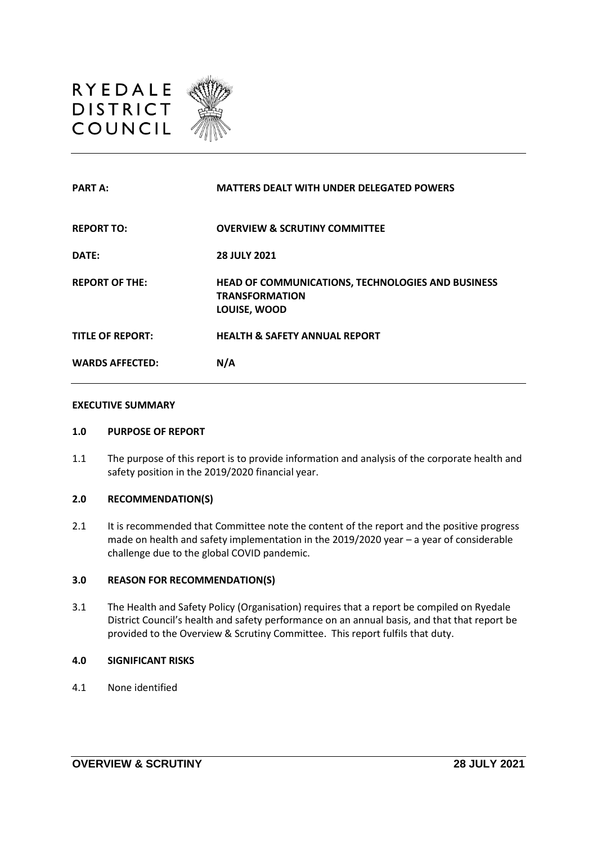

| <b>PART A:</b>          | <b>MATTERS DEALT WITH UNDER DELEGATED POWERS</b>                                           |
|-------------------------|--------------------------------------------------------------------------------------------|
| <b>REPORT TO:</b>       | <b>OVERVIEW &amp; SCRUTINY COMMITTEE</b>                                                   |
| DATE:                   | <b>28 JULY 2021</b>                                                                        |
| <b>REPORT OF THE:</b>   | HEAD OF COMMUNICATIONS, TECHNOLOGIES AND BUSINESS<br><b>TRANSFORMATION</b><br>LOUISE, WOOD |
| <b>TITLE OF REPORT:</b> | <b>HEALTH &amp; SAFETY ANNUAL REPORT</b>                                                   |
| <b>WARDS AFFECTED:</b>  | N/A                                                                                        |

#### **EXECUTIVE SUMMARY**

#### **1.0 PURPOSE OF REPORT**

1.1 The purpose of this report is to provide information and analysis of the corporate health and safety position in the 2019/2020 financial year.

# **2.0 RECOMMENDATION(S)**

2.1 It is recommended that Committee note the content of the report and the positive progress made on health and safety implementation in the 2019/2020 year – a year of considerable challenge due to the global COVID pandemic.

#### **3.0 REASON FOR RECOMMENDATION(S)**

3.1 The Health and Safety Policy (Organisation) requires that a report be compiled on Ryedale District Council's health and safety performance on an annual basis, and that that report be provided to the Overview & Scrutiny Committee. This report fulfils that duty.

#### **4.0 SIGNIFICANT RISKS**

4.1 None identified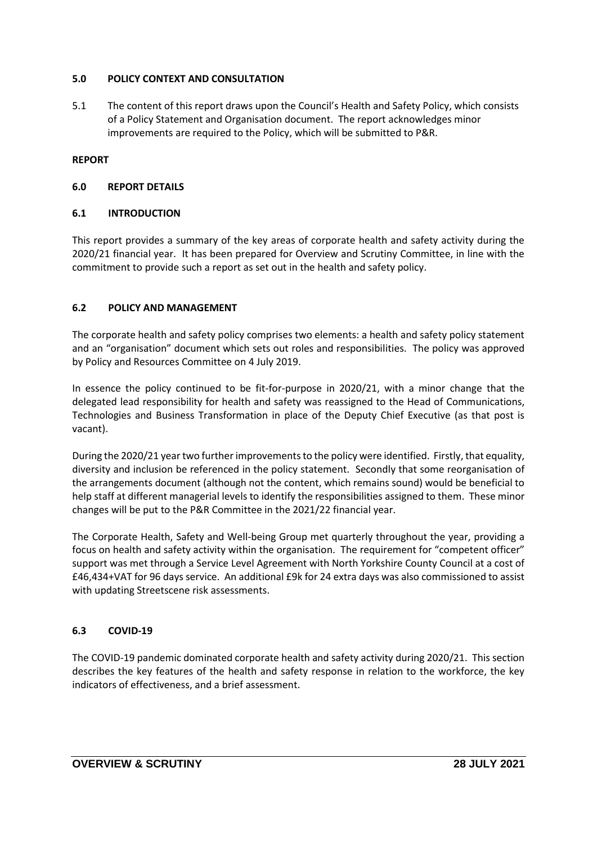# **5.0 POLICY CONTEXT AND CONSULTATION**

5.1 The content of this report draws upon the Council's Health and Safety Policy, which consists of a Policy Statement and Organisation document. The report acknowledges minor improvements are required to the Policy, which will be submitted to P&R.

# **REPORT**

# **6.0 REPORT DETAILS**

## **6.1 INTRODUCTION**

This report provides a summary of the key areas of corporate health and safety activity during the 2020/21 financial year. It has been prepared for Overview and Scrutiny Committee, in line with the commitment to provide such a report as set out in the health and safety policy.

## **6.2 POLICY AND MANAGEMENT**

The corporate health and safety policy comprises two elements: a health and safety policy statement and an "organisation" document which sets out roles and responsibilities. The policy was approved by Policy and Resources Committee on 4 July 2019.

In essence the policy continued to be fit-for-purpose in 2020/21, with a minor change that the delegated lead responsibility for health and safety was reassigned to the Head of Communications, Technologies and Business Transformation in place of the Deputy Chief Executive (as that post is vacant).

During the 2020/21 year two further improvements to the policy were identified. Firstly, that equality, diversity and inclusion be referenced in the policy statement. Secondly that some reorganisation of the arrangements document (although not the content, which remains sound) would be beneficial to help staff at different managerial levels to identify the responsibilities assigned to them. These minor changes will be put to the P&R Committee in the 2021/22 financial year.

The Corporate Health, Safety and Well-being Group met quarterly throughout the year, providing a focus on health and safety activity within the organisation. The requirement for "competent officer" support was met through a Service Level Agreement with North Yorkshire County Council at a cost of £46,434+VAT for 96 days service. An additional £9k for 24 extra days was also commissioned to assist with updating Streetscene risk assessments.

# **6.3 COVID-19**

The COVID-19 pandemic dominated corporate health and safety activity during 2020/21. This section describes the key features of the health and safety response in relation to the workforce, the key indicators of effectiveness, and a brief assessment.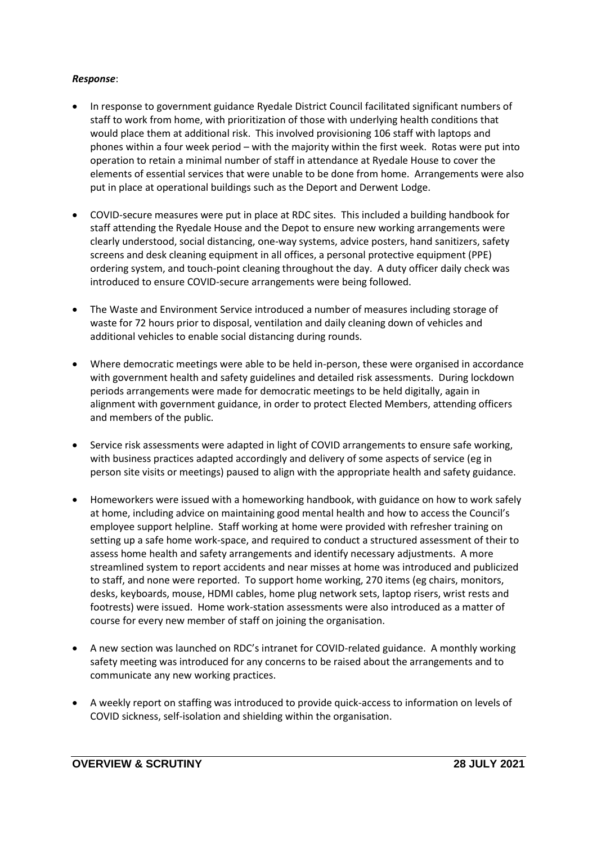# *Response*:

- In response to government guidance Ryedale District Council facilitated significant numbers of staff to work from home, with prioritization of those with underlying health conditions that would place them at additional risk. This involved provisioning 106 staff with laptops and phones within a four week period – with the majority within the first week. Rotas were put into operation to retain a minimal number of staff in attendance at Ryedale House to cover the elements of essential services that were unable to be done from home. Arrangements were also put in place at operational buildings such as the Deport and Derwent Lodge.
- COVID-secure measures were put in place at RDC sites. This included a building handbook for staff attending the Ryedale House and the Depot to ensure new working arrangements were clearly understood, social distancing, one-way systems, advice posters, hand sanitizers, safety screens and desk cleaning equipment in all offices, a personal protective equipment (PPE) ordering system, and touch-point cleaning throughout the day. A duty officer daily check was introduced to ensure COVID-secure arrangements were being followed.
- The Waste and Environment Service introduced a number of measures including storage of waste for 72 hours prior to disposal, ventilation and daily cleaning down of vehicles and additional vehicles to enable social distancing during rounds.
- Where democratic meetings were able to be held in-person, these were organised in accordance with government health and safety guidelines and detailed risk assessments. During lockdown periods arrangements were made for democratic meetings to be held digitally, again in alignment with government guidance, in order to protect Elected Members, attending officers and members of the public.
- Service risk assessments were adapted in light of COVID arrangements to ensure safe working, with business practices adapted accordingly and delivery of some aspects of service (eg in person site visits or meetings) paused to align with the appropriate health and safety guidance.
- Homeworkers were issued with a homeworking handbook, with guidance on how to work safely at home, including advice on maintaining good mental health and how to access the Council's employee support helpline. Staff working at home were provided with refresher training on setting up a safe home work-space, and required to conduct a structured assessment of their to assess home health and safety arrangements and identify necessary adjustments. A more streamlined system to report accidents and near misses at home was introduced and publicized to staff, and none were reported. To support home working, 270 items (eg chairs, monitors, desks, keyboards, mouse, HDMI cables, home plug network sets, laptop risers, wrist rests and footrests) were issued. Home work-station assessments were also introduced as a matter of course for every new member of staff on joining the organisation.
- A new section was launched on RDC's intranet for COVID-related guidance. A monthly working safety meeting was introduced for any concerns to be raised about the arrangements and to communicate any new working practices.
- A weekly report on staffing was introduced to provide quick-access to information on levels of COVID sickness, self-isolation and shielding within the organisation.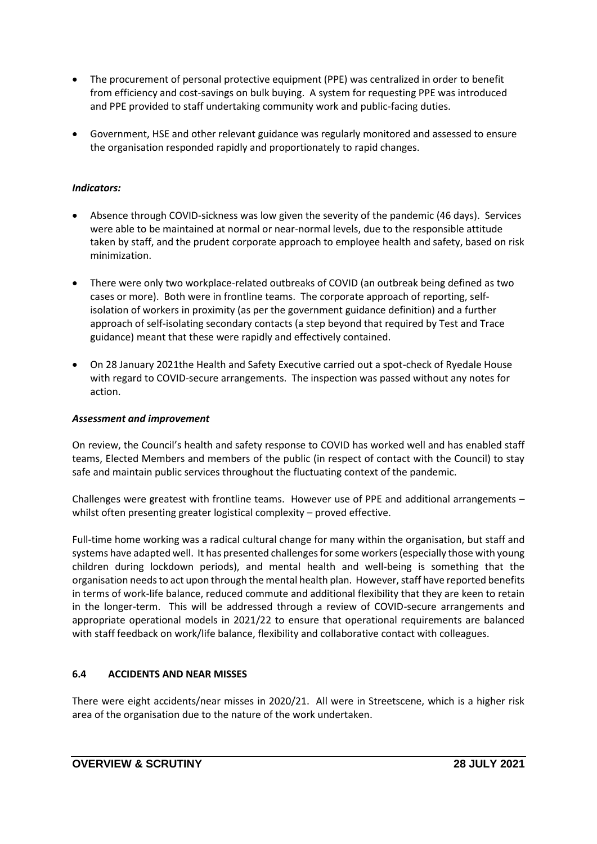- The procurement of personal protective equipment (PPE) was centralized in order to benefit from efficiency and cost-savings on bulk buying. A system for requesting PPE was introduced and PPE provided to staff undertaking community work and public-facing duties.
- Government, HSE and other relevant guidance was regularly monitored and assessed to ensure the organisation responded rapidly and proportionately to rapid changes.

# *Indicators:*

- Absence through COVID-sickness was low given the severity of the pandemic (46 days). Services were able to be maintained at normal or near-normal levels, due to the responsible attitude taken by staff, and the prudent corporate approach to employee health and safety, based on risk minimization.
- There were only two workplace-related outbreaks of COVID (an outbreak being defined as two cases or more). Both were in frontline teams. The corporate approach of reporting, selfisolation of workers in proximity (as per the government guidance definition) and a further approach of self-isolating secondary contacts (a step beyond that required by Test and Trace guidance) meant that these were rapidly and effectively contained.
- On 28 January 2021the Health and Safety Executive carried out a spot-check of Ryedale House with regard to COVID-secure arrangements. The inspection was passed without any notes for action.

# *Assessment and improvement*

On review, the Council's health and safety response to COVID has worked well and has enabled staff teams, Elected Members and members of the public (in respect of contact with the Council) to stay safe and maintain public services throughout the fluctuating context of the pandemic.

Challenges were greatest with frontline teams. However use of PPE and additional arrangements – whilst often presenting greater logistical complexity – proved effective.

Full-time home working was a radical cultural change for many within the organisation, but staff and systems have adapted well. It has presented challenges for some workers (especially those with young children during lockdown periods), and mental health and well-being is something that the organisation needs to act upon through the mental health plan. However, staff have reported benefits in terms of work-life balance, reduced commute and additional flexibility that they are keen to retain in the longer-term. This will be addressed through a review of COVID-secure arrangements and appropriate operational models in 2021/22 to ensure that operational requirements are balanced with staff feedback on work/life balance, flexibility and collaborative contact with colleagues.

# **6.4 ACCIDENTS AND NEAR MISSES**

There were eight accidents/near misses in 2020/21. All were in Streetscene, which is a higher risk area of the organisation due to the nature of the work undertaken.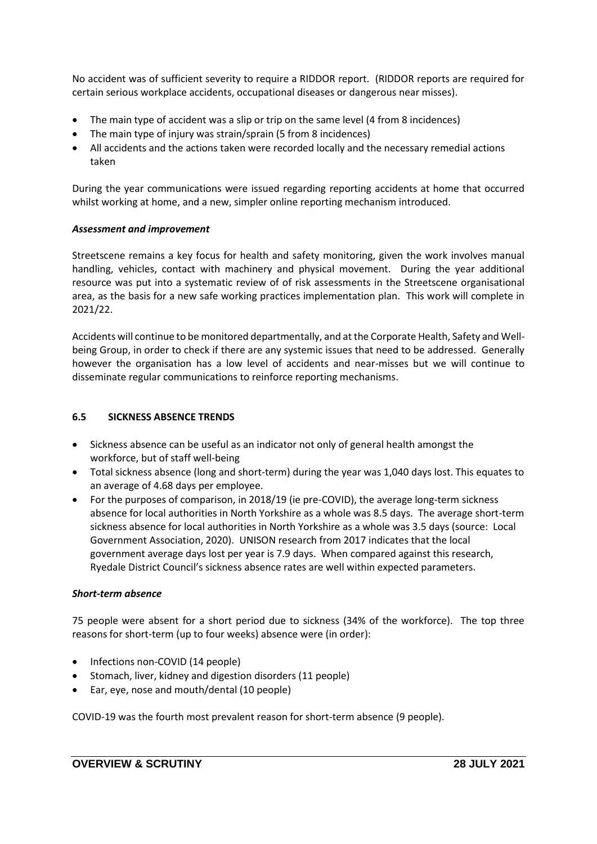No accident was of sufficient severity to require a RIDDOR report. (RIDDOR reports are required for certain serious workplace accidents, occupational diseases or dangerous near misses).

- The main type of accident was a slip or trip on the same level (4 from 8 incidences)
- The main type of injury was strain/sprain (5 from 8 incidences)
- All accidents and the actions taken were recorded locally and the necessary remedial actions taken

During the year communications were issued regarding reporting accidents at home that occurred whilst working at home, and a new, simpler online reporting mechanism introduced.

## *Assessment and improvement*

Streetscene remains a key focus for health and safety monitoring, given the work involves manual handling, vehicles, contact with machinery and physical movement. During the year additional resource was put into a systematic review of of risk assessments in the Streetscene organisational area, as the basis for a new safe working practices implementation plan. This work will complete in 2021/22.

Accidents will continue to be monitored departmentally, and at the Corporate Health, Safety and Wellbeing Group, in order to check if there are any systemic issues that need to be addressed. Generally however the organisation has a low level of accidents and near-misses but we will continue to disseminate regular communications to reinforce reporting mechanisms.

### **6.5 SICKNESS ABSENCE TRENDS**

- Sickness absence can be useful as an indicator not only of general health amongst the workforce, but of staff well-being
- Total sickness absence (long and short-term) during the year was 1,040 days lost. This equates to an average of 4.68 days per employee.
- For the purposes of comparison, in 2018/19 (ie pre-COVID), the average long-term sickness absence for local authorities in North Yorkshire as a whole was 8.5 days. The average short-term sickness absence for local authorities in North Yorkshire as a whole was 3.5 days (source: Local Government Association, 2020). UNISON research from 2017 indicates that the local government average days lost per year is 7.9 days. When compared against this research, Ryedale District Council's sickness absence rates are well within expected parameters.

### *Short-term absence*

75 people were absent for a short period due to sickness (34% of the workforce). The top three reasons for short-term (up to four weeks) absence were (in order):

- Infections non-COVID (14 people)
- Stomach, liver, kidney and digestion disorders (11 people)
- Ear, eye, nose and mouth/dental (10 people)

COVID-19 was the fourth most prevalent reason for short-term absence (9 people).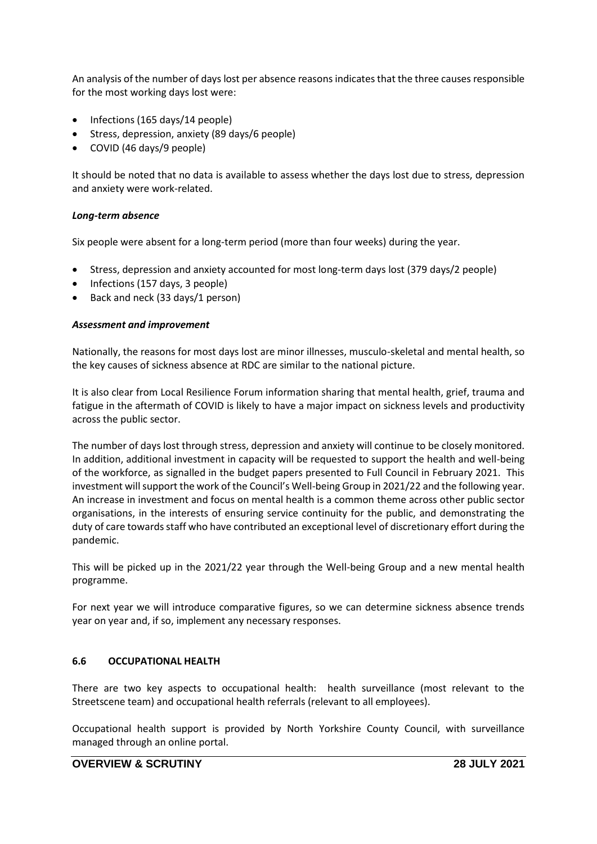An analysis of the number of days lost per absence reasons indicates that the three causes responsible for the most working days lost were:

- Infections (165 days/14 people)
- Stress, depression, anxiety (89 days/6 people)
- COVID (46 days/9 people)

It should be noted that no data is available to assess whether the days lost due to stress, depression and anxiety were work-related.

#### *Long-term absence*

Six people were absent for a long-term period (more than four weeks) during the year.

- Stress, depression and anxiety accounted for most long-term days lost (379 days/2 people)
- Infections (157 days, 3 people)
- Back and neck (33 days/1 person)

### *Assessment and improvement*

Nationally, the reasons for most days lost are minor illnesses, musculo-skeletal and mental health, so the key causes of sickness absence at RDC are similar to the national picture.

It is also clear from Local Resilience Forum information sharing that mental health, grief, trauma and fatigue in the aftermath of COVID is likely to have a major impact on sickness levels and productivity across the public sector.

The number of days lost through stress, depression and anxiety will continue to be closely monitored. In addition, additional investment in capacity will be requested to support the health and well-being of the workforce, as signalled in the budget papers presented to Full Council in February 2021. This investment will support the work of the Council's Well-being Group in 2021/22 and the following year. An increase in investment and focus on mental health is a common theme across other public sector organisations, in the interests of ensuring service continuity for the public, and demonstrating the duty of care towards staff who have contributed an exceptional level of discretionary effort during the pandemic.

This will be picked up in the 2021/22 year through the Well-being Group and a new mental health programme.

For next year we will introduce comparative figures, so we can determine sickness absence trends year on year and, if so, implement any necessary responses.

### **6.6 OCCUPATIONAL HEALTH**

There are two key aspects to occupational health: health surveillance (most relevant to the Streetscene team) and occupational health referrals (relevant to all employees).

Occupational health support is provided by North Yorkshire County Council, with surveillance managed through an online portal.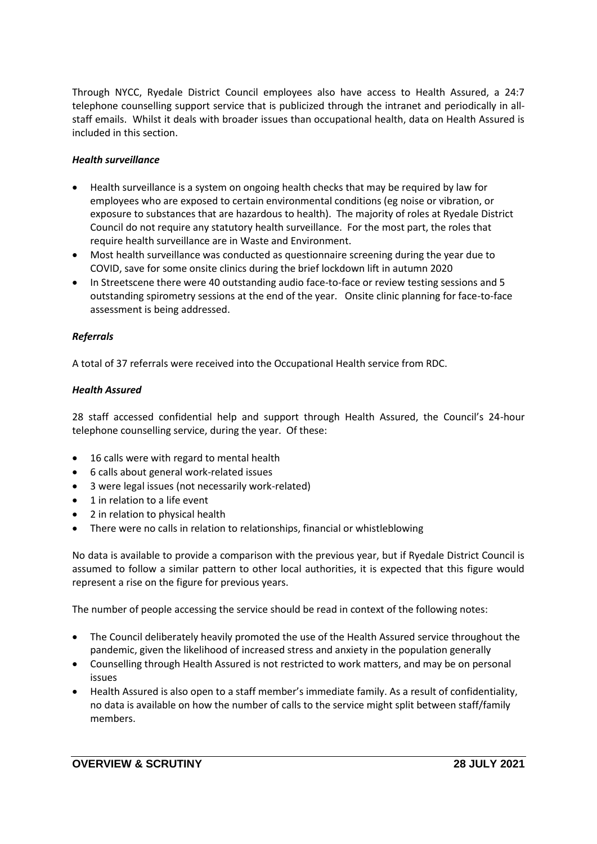Through NYCC, Ryedale District Council employees also have access to Health Assured, a 24:7 telephone counselling support service that is publicized through the intranet and periodically in allstaff emails. Whilst it deals with broader issues than occupational health, data on Health Assured is included in this section.

# *Health surveillance*

- Health surveillance is a system on ongoing health checks that may be required by law for employees who are exposed to certain environmental conditions (eg noise or vibration, or exposure to substances that are hazardous to health). The majority of roles at Ryedale District Council do not require any statutory health surveillance. For the most part, the roles that require health surveillance are in Waste and Environment.
- Most health surveillance was conducted as questionnaire screening during the year due to COVID, save for some onsite clinics during the brief lockdown lift in autumn 2020
- In Streetscene there were 40 outstanding audio face-to-face or review testing sessions and 5 outstanding spirometry sessions at the end of the year. Onsite clinic planning for face-to-face assessment is being addressed.

# *Referrals*

A total of 37 referrals were received into the Occupational Health service from RDC.

## *Health Assured*

28 staff accessed confidential help and support through Health Assured, the Council's 24-hour telephone counselling service, during the year. Of these:

- 16 calls were with regard to mental health
- 6 calls about general work-related issues
- 3 were legal issues (not necessarily work-related)
- 1 in relation to a life event
- 2 in relation to physical health
- There were no calls in relation to relationships, financial or whistleblowing

No data is available to provide a comparison with the previous year, but if Ryedale District Council is assumed to follow a similar pattern to other local authorities, it is expected that this figure would represent a rise on the figure for previous years.

The number of people accessing the service should be read in context of the following notes:

- The Council deliberately heavily promoted the use of the Health Assured service throughout the pandemic, given the likelihood of increased stress and anxiety in the population generally
- Counselling through Health Assured is not restricted to work matters, and may be on personal issues
- Health Assured is also open to a staff member's immediate family. As a result of confidentiality, no data is available on how the number of calls to the service might split between staff/family members.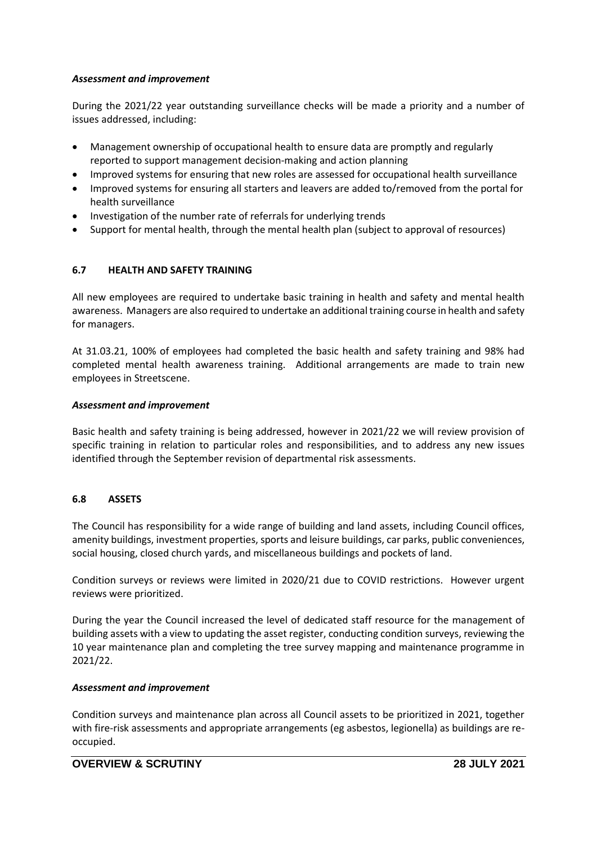## *Assessment and improvement*

During the 2021/22 year outstanding surveillance checks will be made a priority and a number of issues addressed, including:

- Management ownership of occupational health to ensure data are promptly and regularly reported to support management decision-making and action planning
- Improved systems for ensuring that new roles are assessed for occupational health surveillance
- Improved systems for ensuring all starters and leavers are added to/removed from the portal for health surveillance
- Investigation of the number rate of referrals for underlying trends
- Support for mental health, through the mental health plan (subject to approval of resources)

# **6.7 HEALTH AND SAFETY TRAINING**

All new employees are required to undertake basic training in health and safety and mental health awareness. Managers are also required to undertake an additional training course in health and safety for managers.

At 31.03.21, 100% of employees had completed the basic health and safety training and 98% had completed mental health awareness training. Additional arrangements are made to train new employees in Streetscene.

## *Assessment and improvement*

Basic health and safety training is being addressed, however in 2021/22 we will review provision of specific training in relation to particular roles and responsibilities, and to address any new issues identified through the September revision of departmental risk assessments.

# **6.8 ASSETS**

The Council has responsibility for a wide range of building and land assets, including Council offices, amenity buildings, investment properties, sports and leisure buildings, car parks, public conveniences, social housing, closed church yards, and miscellaneous buildings and pockets of land.

Condition surveys or reviews were limited in 2020/21 due to COVID restrictions. However urgent reviews were prioritized.

During the year the Council increased the level of dedicated staff resource for the management of building assets with a view to updating the asset register, conducting condition surveys, reviewing the 10 year maintenance plan and completing the tree survey mapping and maintenance programme in 2021/22.

### *Assessment and improvement*

Condition surveys and maintenance plan across all Council assets to be prioritized in 2021, together with fire-risk assessments and appropriate arrangements (eg asbestos, legionella) as buildings are reoccupied.